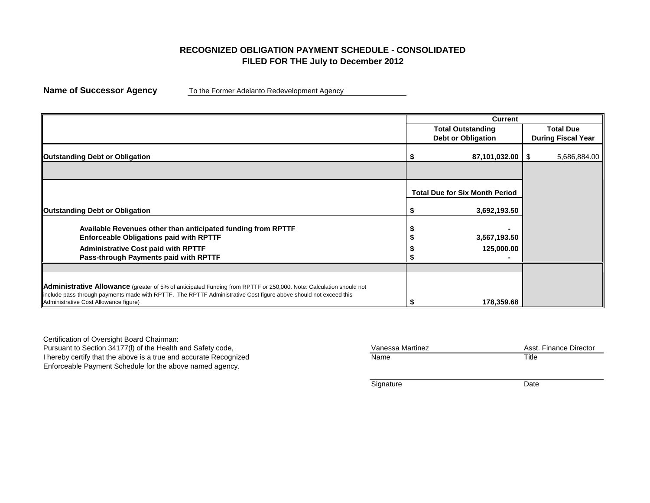## **RECOGNIZED OBLIGATION PAYMENT SCHEDULE - CONSOLIDATED FILED FOR THE July to December 2012**

**Name of Successor Agency** To the Former Adelanto Redevelopment Agency

|                                                                                                                                                                                                                                                                                        | <b>Current</b>                        |                           |
|----------------------------------------------------------------------------------------------------------------------------------------------------------------------------------------------------------------------------------------------------------------------------------------|---------------------------------------|---------------------------|
|                                                                                                                                                                                                                                                                                        | <b>Total Outstanding</b>              | <b>Total Due</b>          |
|                                                                                                                                                                                                                                                                                        | <b>Debt or Obligation</b>             | <b>During Fiscal Year</b> |
| <b>Outstanding Debt or Obligation</b>                                                                                                                                                                                                                                                  | 87,101,032.00   \$                    | 5,686,884.00              |
|                                                                                                                                                                                                                                                                                        |                                       |                           |
|                                                                                                                                                                                                                                                                                        | <b>Total Due for Six Month Period</b> |                           |
| <b>Outstanding Debt or Obligation</b>                                                                                                                                                                                                                                                  | 3,692,193.50                          |                           |
| Available Revenues other than anticipated funding from RPTTF                                                                                                                                                                                                                           |                                       |                           |
| <b>Enforceable Obligations paid with RPTTF</b>                                                                                                                                                                                                                                         | 3,567,193.50                          |                           |
| <b>Administrative Cost paid with RPTTF</b>                                                                                                                                                                                                                                             | 125,000.00                            |                           |
| Pass-through Payments paid with RPTTF                                                                                                                                                                                                                                                  |                                       |                           |
|                                                                                                                                                                                                                                                                                        |                                       |                           |
| <b>Administrative Allowance</b> (greater of 5% of anticipated Funding from RPTTF or 250,000. Note: Calculation should not<br>include pass-through payments made with RPTTF. The RPTTF Administrative Cost figure above should not exceed this<br>Administrative Cost Allowance figure) | 178,359.68                            |                           |

Certification of Oversight Board Chairman: Pursuant to Section 34177(I) of the Health and Safety code, I hereby certify that the above is a true and accurate Recognized Enforceable Payment Schedule for the above named agency.

| Vanessa Martinez | Asst. Finance Director |
|------------------|------------------------|
| Name             | Title                  |

Signature Date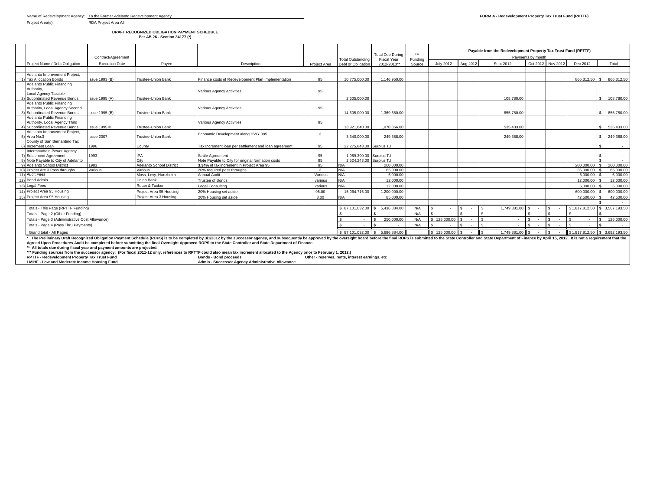Project Area(s) RDA Project Area All

**DRAFT RECOGNIZED OBLIGATION PAYMENT SCHEDULE Per AB 26 - Section 34177 (\*)**

|  |                                                                                         | Contract/Agreement    |                                 |                                                                                                                                                                                                                                |                                | Total Outstanding                            | <b>Total Due During</b><br><b>Fiscal Year</b> |                   |              | Payable from the Redevelopment Property Tax Trust Fund (RPTTF)<br>Payments by month |                            |                               |          |               |                               |  |
|--|-----------------------------------------------------------------------------------------|-----------------------|---------------------------------|--------------------------------------------------------------------------------------------------------------------------------------------------------------------------------------------------------------------------------|--------------------------------|----------------------------------------------|-----------------------------------------------|-------------------|--------------|-------------------------------------------------------------------------------------|----------------------------|-------------------------------|----------|---------------|-------------------------------|--|
|  | Project Name / Debt Obligation                                                          | <b>Execution Date</b> | Pavee                           | Description                                                                                                                                                                                                                    | Project Area                   | Debt or Obligation                           | 2012-2013**                                   | Funding<br>Source | July 2012    | Aug 2012                                                                            | Sept 2012                  | Oct 2012                      | Nov 2012 | Dec 2012      | Total                         |  |
|  |                                                                                         |                       |                                 |                                                                                                                                                                                                                                |                                |                                              |                                               |                   |              |                                                                                     |                            |                               |          |               |                               |  |
|  | Adelanto Improvement Project.                                                           |                       |                                 |                                                                                                                                                                                                                                |                                |                                              |                                               |                   |              |                                                                                     |                            |                               |          |               |                               |  |
|  | 1) Tax Allocation Bonds                                                                 | <b>Issue 1993 (B)</b> | <b>Trustee-Union Bank</b>       | Finance costs of Redevelopment Plan Implementation                                                                                                                                                                             | 95                             | 10.775.000.00                                | 1.146.950.00                                  |                   |              |                                                                                     |                            |                               |          | 866.312.50 \$ | 866.312.50                    |  |
|  | Adelanto Public Financing                                                               |                       |                                 |                                                                                                                                                                                                                                |                                |                                              |                                               |                   |              |                                                                                     |                            |                               |          |               |                               |  |
|  | Authority,<br>Local Agency Taxable                                                      |                       |                                 | <b>Various Agency Activities</b>                                                                                                                                                                                               | 95                             |                                              |                                               |                   |              |                                                                                     |                            |                               |          |               |                               |  |
|  | Subordinated Revenue Bonds                                                              | Issue 1995 (A)        | Trustee-Union Bank              |                                                                                                                                                                                                                                |                                | 2.605.000.00                                 |                                               |                   |              |                                                                                     | 108.780.00                 |                               |          |               | 108.780.00                    |  |
|  | Adelanto Public Financing                                                               |                       |                                 |                                                                                                                                                                                                                                |                                |                                              |                                               |                   |              |                                                                                     |                            |                               |          |               |                               |  |
|  | Authority, Local Agency Second                                                          |                       |                                 | <b>Various Agency Activities</b>                                                                                                                                                                                               | 95                             |                                              |                                               |                   |              |                                                                                     |                            |                               |          |               |                               |  |
|  | 3) Subordinated Revenue Bonds                                                           | Issue 1995 (B)        | <b>Trustee-Union Bank</b>       |                                                                                                                                                                                                                                |                                | 14.605.000.00                                | 1.369.680.00                                  |                   |              |                                                                                     | 855,780,00                 |                               |          |               | \$ 855,780.00                 |  |
|  | Adelanto Public Financing                                                               |                       |                                 |                                                                                                                                                                                                                                |                                |                                              |                                               |                   |              |                                                                                     |                            |                               |          |               |                               |  |
|  | Authority, Local Agency Third                                                           |                       |                                 | <b>Various Agency Activities</b>                                                                                                                                                                                               | 95                             |                                              |                                               |                   |              |                                                                                     |                            |                               |          |               |                               |  |
|  | 4) Subordinated Revenue Bonds                                                           | Issue 1995 ©          | <b>Trustee-Union Bank</b>       |                                                                                                                                                                                                                                |                                | 13,921,840.00                                | 1.070.866.00                                  |                   |              |                                                                                     | 535.433.00                 |                               |          |               | \$ 535,433,00                 |  |
|  | Adelanto Improvement Project.                                                           |                       |                                 | Economic Development along HWY 395                                                                                                                                                                                             | $\mathbf{3}$                   |                                              |                                               |                   |              |                                                                                     |                            |                               |          |               |                               |  |
|  | 5) Area No.3                                                                            | Issue 2007            | Trustee-Union Bank              |                                                                                                                                                                                                                                |                                | 3.340.000.00                                 | 249.388.00                                    |                   |              |                                                                                     | 249.388.00                 |                               |          |               | 249.388.00                    |  |
|  | County of San Bernardino Tax<br>6) Increment Loan                                       | 1996                  |                                 | Tax Increment loan per settlement and loan agreement                                                                                                                                                                           | 95                             | 22.275.843.00 Surplus T.I.                   |                                               |                   |              |                                                                                     |                            |                               |          |               |                               |  |
|  | Intermountain Power Agency                                                              |                       | County                          |                                                                                                                                                                                                                                |                                |                                              |                                               |                   |              |                                                                                     |                            |                               |          |               |                               |  |
|  | 7) Settlement Agreement                                                                 | 1993                  | <b>IPA</b>                      | Settle Agreement                                                                                                                                                                                                               | 95                             | 1.989.390.00 Surplus T.I.                    |                                               |                   |              |                                                                                     |                            |                               |          |               |                               |  |
|  | 8) Note Pavable to City of Adelanto                                                     |                       | City                            | Note Pavable to City for original formation costs                                                                                                                                                                              | 95                             | 2.524.243.00 Surplus T.I.                    |                                               |                   |              |                                                                                     |                            |                               |          |               |                               |  |
|  | 9) Adelanto School District                                                             | 1983                  | <b>Adelanto School District</b> | 3.34% of tax increment in Project Area 95                                                                                                                                                                                      | 95                             | N/A                                          | 200,000,00                                    |                   |              |                                                                                     |                            |                               |          | 200.000.00    | 200,000,00                    |  |
|  | 10) Project Are 3 Pass throughs                                                         | Various               | Various                         | 20% required pass throughs                                                                                                                                                                                                     |                                | N/A                                          | 85.000.00                                     |                   |              |                                                                                     |                            |                               |          | 85.000.00     | 85,000.00                     |  |
|  | 11) Audit Fees                                                                          |                       | Moss, Levy, Hartzheim           | Annual Audit                                                                                                                                                                                                                   | Various                        | N/A                                          | 6.000.00                                      |                   |              |                                                                                     |                            |                               |          | 6.000.00      | 6.000.00                      |  |
|  | 12) Bond Admin                                                                          |                       | <b>Union Bank</b>               | <b>Trustee of Bonds</b>                                                                                                                                                                                                        | various                        | N/A                                          | 12.000.00                                     |                   |              |                                                                                     |                            |                               |          | 12,000.00     | 12,000.00                     |  |
|  | 13) Legal Fees                                                                          |                       | Rutan & Tucker                  | Legal Consulting                                                                                                                                                                                                               | various                        | N/A                                          | 12.000.00                                     |                   |              |                                                                                     |                            |                               |          | 6.000.00      | 6.000.00                      |  |
|  | 14) Project Area 95 Housing                                                             |                       | Project Area 95 Housing         | 20% Housing set aside                                                                                                                                                                                                          | 95.00                          | 15.064.716.00                                | 1.200.000.00                                  |                   |              |                                                                                     |                            |                               |          | 600.000.00    | 600.000.00                    |  |
|  | 15) Project Area 95 Housing                                                             |                       | Project Area 3 Housing          | 20% Housing set aside                                                                                                                                                                                                          | 3.00                           | N/A                                          | 85,000.00                                     |                   |              |                                                                                     |                            |                               |          | 42,500.00     | 42,500.00                     |  |
|  |                                                                                         |                       |                                 |                                                                                                                                                                                                                                |                                |                                              |                                               |                   |              |                                                                                     |                            |                               |          |               |                               |  |
|  | Totals - This Page (RPTTF Funding)                                                      |                       |                                 |                                                                                                                                                                                                                                |                                | \$87.101.032.00                              | 5.436.884.00                                  | N/A               |              |                                                                                     | 1.749.381.00               |                               |          |               | \$1,817,812.50 \$3,567,193,50 |  |
|  | Totals - Page 2 (Other Funding)                                                         |                       |                                 |                                                                                                                                                                                                                                |                                | $\sim$                                       |                                               | N/A               |              |                                                                                     |                            |                               |          |               |                               |  |
|  |                                                                                         | $\sim$                | 250,000,00                      | N/A                                                                                                                                                                                                                            | \$125,000.00                   |                                              | $\sim$                                        |                   |              |                                                                                     | 125,000.00<br>$\mathbf{s}$ |                               |          |               |                               |  |
|  | Totals - Page 3 (Administrative Cost Allowance)<br>Totals - Page 4 (Pass Thru Payments) |                       |                                 |                                                                                                                                                                                                                                |                                |                                              |                                               |                   |              |                                                                                     |                            |                               |          |               |                               |  |
|  |                                                                                         |                       |                                 |                                                                                                                                                                                                                                |                                |                                              |                                               | N/A               |              |                                                                                     |                            |                               |          |               |                               |  |
|  | Grand total - All Pages                                                                 |                       |                                 |                                                                                                                                                                                                                                | \$87.101.032.00 \$5.686.884.00 |                                              | $$125,000.00$ \$                              | $\sim$            | 1.749.381.00 | $\sim$                                                                              | $\sim$                     | \$1,817,812.50 \$3,692,193.50 |          |               |                               |  |
|  |                                                                                         |                       |                                 | * The Preliminary Draft Recognized Obligation Payment Schedule (ROPS) is to be completed by 3/1/2012 by the successor agency, and subsequently be approved by the oversight board before the final ROPS is submitted to the St |                                |                                              |                                               |                   |              |                                                                                     |                            |                               |          |               |                               |  |
|  |                                                                                         |                       |                                 | Agreed Upon Procedures Audit be completed before submitting the final Oversight Approved ROPS to the State Controller and State Department of Finance.                                                                         |                                |                                              |                                               |                   |              |                                                                                     |                            |                               |          |               |                               |  |
|  | ** All totals due during fiscal year and payment amounts are projected.                 |                       |                                 |                                                                                                                                                                                                                                |                                |                                              |                                               |                   |              |                                                                                     |                            |                               |          |               |                               |  |
|  | <b>PPTTF - Redevelopment Property Tay Trust Fund</b>                                    |                       |                                 | *** Funding sources from the successor agency: (For fiscal 2011-12 only, references to RPTTF could also mean tax increment allocated to the Agency prior to February 1, 2012.)<br><b>Bonds - Rond proceeds</b>                 |                                | Other - recerves rents interest earnings atc |                                               |                   |              |                                                                                     |                            |                               |          |               |                               |  |

RPTIF - Redevelopment Property Tax True Inc. We are the South of Demokration of the South China of the South A<br>LMIHF - Low and Moderate Income Housing Fund and Martin - Successor Agency Administrative Allowance of the rese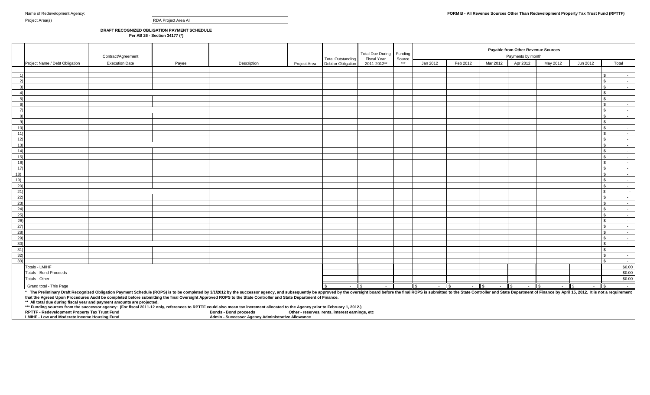Project Area(s) RDA Project Area All

## **DRAFT RECOGNIZED OBLIGATION PAYMENT SCHEDULE Per AB 26 - Section 34177 (\*)**

|                  |                                                                                                                                                      | Contract/Agreement    |       |                                                                                                                                                                                                                                                                                                                                                                                                                                                                                                                                                                                     |              | <b>Total Outstanding</b> | Total Due During<br><b>Fiscal Year</b> | Funding<br>Source |                        |                | Payable from Other Revenue Sources<br>Payments by month |                                 |                           |                    |      |                                     |
|------------------|------------------------------------------------------------------------------------------------------------------------------------------------------|-----------------------|-------|-------------------------------------------------------------------------------------------------------------------------------------------------------------------------------------------------------------------------------------------------------------------------------------------------------------------------------------------------------------------------------------------------------------------------------------------------------------------------------------------------------------------------------------------------------------------------------------|--------------|--------------------------|----------------------------------------|-------------------|------------------------|----------------|---------------------------------------------------------|---------------------------------|---------------------------|--------------------|------|-------------------------------------|
|                  | Project Name / Debt Obligation                                                                                                                       | <b>Execution Date</b> | Payee | Description                                                                                                                                                                                                                                                                                                                                                                                                                                                                                                                                                                         | Project Area | Debt or Obligation       | 2011-2012**                            | ***               | Jan 2012               | Feb 2012       | Mar 2012                                                | Apr 2012                        | May 2012                  | Jun 2012           |      | Total                               |
|                  |                                                                                                                                                      |                       |       |                                                                                                                                                                                                                                                                                                                                                                                                                                                                                                                                                                                     |              |                          |                                        |                   |                        |                |                                                         |                                 |                           |                    |      |                                     |
| $\left  \right $ |                                                                                                                                                      |                       |       |                                                                                                                                                                                                                                                                                                                                                                                                                                                                                                                                                                                     |              |                          |                                        |                   |                        |                |                                                         |                                 |                           |                    |      |                                     |
| $\left(2\right)$ |                                                                                                                                                      |                       |       |                                                                                                                                                                                                                                                                                                                                                                                                                                                                                                                                                                                     |              |                          |                                        |                   |                        |                |                                                         |                                 |                           |                    |      | $\sim$ 100 $\mu$                    |
| 3)               |                                                                                                                                                      |                       |       |                                                                                                                                                                                                                                                                                                                                                                                                                                                                                                                                                                                     |              |                          |                                        |                   |                        |                |                                                         |                                 |                           |                    |      | $\sim$                              |
| 4)               |                                                                                                                                                      |                       |       |                                                                                                                                                                                                                                                                                                                                                                                                                                                                                                                                                                                     |              |                          |                                        |                   |                        |                |                                                         |                                 |                           |                    |      | $\sim$ $-$                          |
| $-5)$            |                                                                                                                                                      |                       |       |                                                                                                                                                                                                                                                                                                                                                                                                                                                                                                                                                                                     |              |                          |                                        |                   |                        |                |                                                         |                                 |                           |                    |      | $\sim$                              |
| 6)               |                                                                                                                                                      |                       |       |                                                                                                                                                                                                                                                                                                                                                                                                                                                                                                                                                                                     |              |                          |                                        |                   |                        |                |                                                         |                                 |                           |                    |      | $\sim$ 100 $\mu$                    |
| $\overline{7}$   |                                                                                                                                                      |                       |       |                                                                                                                                                                                                                                                                                                                                                                                                                                                                                                                                                                                     |              |                          |                                        |                   |                        |                |                                                         |                                 |                           |                    |      | $\sim 10^{-11}$                     |
| 8)               |                                                                                                                                                      |                       |       |                                                                                                                                                                                                                                                                                                                                                                                                                                                                                                                                                                                     |              |                          |                                        |                   |                        |                |                                                         |                                 |                           |                    |      | $\sim$                              |
| 9)               |                                                                                                                                                      |                       |       |                                                                                                                                                                                                                                                                                                                                                                                                                                                                                                                                                                                     |              |                          |                                        |                   |                        |                |                                                         |                                 |                           |                    |      | $\sim$                              |
| 10)              |                                                                                                                                                      |                       |       |                                                                                                                                                                                                                                                                                                                                                                                                                                                                                                                                                                                     |              |                          |                                        |                   |                        |                |                                                         |                                 |                           |                    |      | $\sim 10^{-1}$                      |
| 11)              |                                                                                                                                                      |                       |       |                                                                                                                                                                                                                                                                                                                                                                                                                                                                                                                                                                                     |              |                          |                                        |                   |                        |                |                                                         |                                 |                           |                    |      | $\sim$ $-$                          |
| 12)<br>13)       |                                                                                                                                                      |                       |       |                                                                                                                                                                                                                                                                                                                                                                                                                                                                                                                                                                                     |              |                          |                                        |                   |                        |                |                                                         |                                 |                           |                    |      | $\sim$ $-$                          |
| 14)              |                                                                                                                                                      |                       |       |                                                                                                                                                                                                                                                                                                                                                                                                                                                                                                                                                                                     |              |                          |                                        |                   |                        |                |                                                         |                                 |                           |                    |      | $\sim$ 100 $\mu$<br>$\sim 10^{-11}$ |
| 15)              |                                                                                                                                                      |                       |       |                                                                                                                                                                                                                                                                                                                                                                                                                                                                                                                                                                                     |              |                          |                                        |                   |                        |                |                                                         |                                 |                           |                    |      | $\sim$                              |
| 16)              |                                                                                                                                                      |                       |       |                                                                                                                                                                                                                                                                                                                                                                                                                                                                                                                                                                                     |              |                          |                                        |                   |                        |                |                                                         |                                 |                           |                    |      | $\sim$                              |
| 17)              |                                                                                                                                                      |                       |       |                                                                                                                                                                                                                                                                                                                                                                                                                                                                                                                                                                                     |              |                          |                                        |                   |                        |                |                                                         |                                 |                           |                    |      | $\sim$ 100 $\mu$                    |
| 18)              |                                                                                                                                                      |                       |       |                                                                                                                                                                                                                                                                                                                                                                                                                                                                                                                                                                                     |              |                          |                                        |                   |                        |                |                                                         |                                 |                           |                    |      | $\sim$ $-$                          |
| 19)              |                                                                                                                                                      |                       |       |                                                                                                                                                                                                                                                                                                                                                                                                                                                                                                                                                                                     |              |                          |                                        |                   |                        |                |                                                         |                                 |                           |                    |      | $\sim$ $-$                          |
| 20)              |                                                                                                                                                      |                       |       |                                                                                                                                                                                                                                                                                                                                                                                                                                                                                                                                                                                     |              |                          |                                        |                   |                        |                |                                                         |                                 |                           |                    |      | $\sim$                              |
| 21)              |                                                                                                                                                      |                       |       |                                                                                                                                                                                                                                                                                                                                                                                                                                                                                                                                                                                     |              |                          |                                        |                   |                        |                |                                                         |                                 |                           |                    |      | $\sim$                              |
| 22)              |                                                                                                                                                      |                       |       |                                                                                                                                                                                                                                                                                                                                                                                                                                                                                                                                                                                     |              |                          |                                        |                   |                        |                |                                                         |                                 |                           |                    |      | $\sim$ $-$                          |
| 23)              |                                                                                                                                                      |                       |       |                                                                                                                                                                                                                                                                                                                                                                                                                                                                                                                                                                                     |              |                          |                                        |                   |                        |                |                                                         |                                 |                           |                    |      | $\sim$                              |
| (24)             |                                                                                                                                                      |                       |       |                                                                                                                                                                                                                                                                                                                                                                                                                                                                                                                                                                                     |              |                          |                                        |                   |                        |                |                                                         |                                 |                           |                    |      | $\sim$ $-$                          |
| 25)              |                                                                                                                                                      |                       |       |                                                                                                                                                                                                                                                                                                                                                                                                                                                                                                                                                                                     |              |                          |                                        |                   |                        |                |                                                         |                                 |                           |                    |      | $\sim$                              |
| 26)              |                                                                                                                                                      |                       |       |                                                                                                                                                                                                                                                                                                                                                                                                                                                                                                                                                                                     |              |                          |                                        |                   |                        |                |                                                         |                                 |                           |                    |      | $\sim$ 100 $\mu$                    |
| 27)              |                                                                                                                                                      |                       |       |                                                                                                                                                                                                                                                                                                                                                                                                                                                                                                                                                                                     |              |                          |                                        |                   |                        |                |                                                         |                                 |                           |                    |      | $\sim$ $-$                          |
| 28)              |                                                                                                                                                      |                       |       |                                                                                                                                                                                                                                                                                                                                                                                                                                                                                                                                                                                     |              |                          |                                        |                   |                        |                |                                                         |                                 |                           |                    |      | $\sim$ 100 $\mu$                    |
| 29)              |                                                                                                                                                      |                       |       |                                                                                                                                                                                                                                                                                                                                                                                                                                                                                                                                                                                     |              |                          |                                        |                   |                        |                |                                                         |                                 |                           |                    |      | $\sim$ $-$                          |
| 30)              |                                                                                                                                                      |                       |       |                                                                                                                                                                                                                                                                                                                                                                                                                                                                                                                                                                                     |              |                          |                                        |                   |                        |                |                                                         |                                 |                           |                    |      | $\sim$ $-$                          |
| 31)              |                                                                                                                                                      |                       |       |                                                                                                                                                                                                                                                                                                                                                                                                                                                                                                                                                                                     |              |                          |                                        |                   |                        |                |                                                         |                                 |                           |                    |      | $\sim$                              |
| 32)              |                                                                                                                                                      |                       |       |                                                                                                                                                                                                                                                                                                                                                                                                                                                                                                                                                                                     |              |                          |                                        |                   |                        |                |                                                         |                                 |                           |                    |      | $\sim$ 100 $\mu$                    |
| 33)              |                                                                                                                                                      |                       |       |                                                                                                                                                                                                                                                                                                                                                                                                                                                                                                                                                                                     |              |                          |                                        |                   |                        |                |                                                         |                                 |                           |                    |      | $\sim$ 100 $\mu$                    |
|                  | Totals - LMIHF                                                                                                                                       |                       |       |                                                                                                                                                                                                                                                                                                                                                                                                                                                                                                                                                                                     |              |                          |                                        |                   |                        |                |                                                         |                                 |                           |                    |      | \$0.00                              |
|                  | <b>Totals - Bond Proceeds</b>                                                                                                                        |                       |       |                                                                                                                                                                                                                                                                                                                                                                                                                                                                                                                                                                                     |              |                          |                                        |                   |                        |                |                                                         |                                 |                           |                    |      | \$0.00                              |
|                  | Totals - Other                                                                                                                                       |                       |       |                                                                                                                                                                                                                                                                                                                                                                                                                                                                                                                                                                                     |              |                          |                                        |                   |                        |                |                                                         |                                 |                           |                    |      | \$0.00                              |
|                  | Grand total - This Page                                                                                                                              |                       |       |                                                                                                                                                                                                                                                                                                                                                                                                                                                                                                                                                                                     |              | $\sim 10^{-11}$          | ll \$                                  |                   | $\mathbf{r}$<br>$\sim$ | $-$ \$<br>l \$ | $\sim$ $-$                                              | $\mathbf{s}$<br>$\sim 10^{-11}$ | ll \$<br>$\sim$ 100 $\mu$ | ll S<br>$\sim$ $-$ | ll s | $\sim 100$ m $^{-1}$                |
|                  | ** All total due during fiscal year and payment amounts are projected.                                                                               |                       |       | * The Preliminary Draft Recognized Obligation Payment Schedule (ROPS) is to be completed by 3/1/2012 by the successor agency, and subsequently be approved by the oversight board before the final ROPS is submitted to the St<br>that the Agreed Upon Procedures Audit be completed before submitting the final Oversight Approved ROPS to the State Controller and State Department of Finance.<br>*** Funding sources from the successor agency: (For fiscal 2011-12 only, references to RPTTF could also mean tax increment allocated to the Agency prior to February 1, 2012.) |              |                          |                                        |                   |                        |                |                                                         |                                 |                           |                    |      |                                     |
|                  | RPTTF - Redevelopment Property Tax Trust Fund                                                                                                        |                       |       | <b>Bonds - Bond proceeds</b>                                                                                                                                                                                                                                                                                                                                                                                                                                                                                                                                                        |              |                          |                                        |                   |                        |                |                                                         |                                 |                           |                    |      |                                     |
|                  | Other - reserves, rents, interest earnings, etc<br>LMIHF - Low and Moderate Income Housing Fund<br>Admin - Successor Agency Administrative Allowance |                       |       |                                                                                                                                                                                                                                                                                                                                                                                                                                                                                                                                                                                     |              |                          |                                        |                   |                        |                |                                                         |                                 |                           |                    |      |                                     |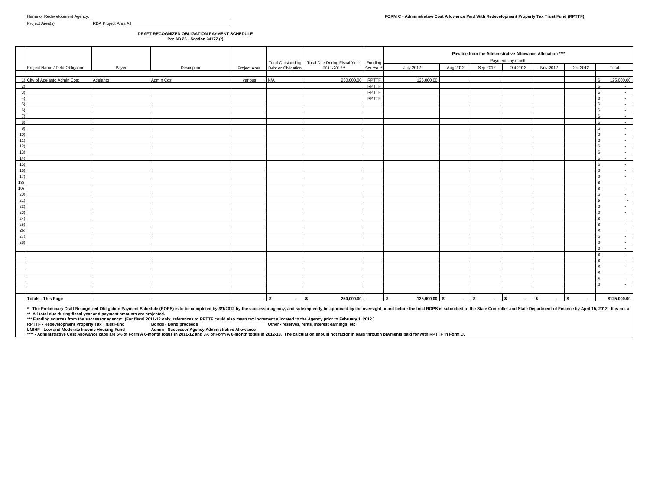## **DRAFT RECOGNIZED OBLIGATION PAYMENT SCHEDULE Per AB 26 - Section 34177 (\*)**

|                                                  |                                |          |             |         |                                  |                                                                                  | Funding              |                    |          | Payable from the Administrative Allowance Allocation ****<br>Payments by month |                                    |               |              |                                          |  |  |  |  |
|--------------------------------------------------|--------------------------------|----------|-------------|---------|----------------------------------|----------------------------------------------------------------------------------|----------------------|--------------------|----------|--------------------------------------------------------------------------------|------------------------------------|---------------|--------------|------------------------------------------|--|--|--|--|
|                                                  | Project Name / Debt Obligation | Payee    | Description |         | Project Area  Debt or Obligation | Total Outstanding Total Due During Fiscal Year<br>Debt or Obligation 2011-2012** | Source <sup>**</sup> | <b>July 2012</b>   | Aug 2012 | Sep 2012                                                                       | Oct 2012                           | Nov 2012      | Dec 2012     | Total                                    |  |  |  |  |
|                                                  |                                |          |             |         |                                  |                                                                                  |                      |                    |          |                                                                                |                                    |               |              |                                          |  |  |  |  |
|                                                  | 1) City of Adelanto Admin Cost | Adelanto | Admin Cost  | various | N/A                              | 250,000.00                                                                       | <b>RPTTF</b>         | 125,000.00         |          |                                                                                |                                    |               |              | 125,000.00                               |  |  |  |  |
| 2)                                               |                                |          |             |         |                                  |                                                                                  | <b>RPTTF</b>         |                    |          |                                                                                |                                    |               |              | $\mathbf{s}$<br>$\sim$                   |  |  |  |  |
| 3)                                               |                                |          |             |         |                                  |                                                                                  | <b>RPTTF</b>         |                    |          |                                                                                |                                    |               |              | $\mathbf{s}$<br>$\sim 10^{-1}$           |  |  |  |  |
| $\overline{4}$                                   |                                |          |             |         |                                  |                                                                                  | RPTTF                |                    |          |                                                                                |                                    |               |              | l s<br>$\sim$                            |  |  |  |  |
| 5)                                               |                                |          |             |         |                                  |                                                                                  |                      |                    |          |                                                                                |                                    |               |              | $\mathbf{s}$<br>$\sim 10^{-1}$           |  |  |  |  |
| 6)                                               |                                |          |             |         |                                  |                                                                                  |                      |                    |          |                                                                                |                                    |               |              | $\mathbf{s}$<br>$\sim$                   |  |  |  |  |
| $\overline{7}$                                   |                                |          |             |         |                                  |                                                                                  |                      |                    |          |                                                                                |                                    |               |              | $\mathbf{s}$<br>$\sim$ $-$               |  |  |  |  |
| $\{8\}$                                          |                                |          |             |         |                                  |                                                                                  |                      |                    |          |                                                                                |                                    |               |              | l s<br>$\sim$                            |  |  |  |  |
| 9)                                               |                                |          |             |         |                                  |                                                                                  |                      |                    |          |                                                                                |                                    |               |              | $\mathbf{s}$<br>$\sim 10^{-1}$           |  |  |  |  |
| 10)                                              |                                |          |             |         |                                  |                                                                                  |                      |                    |          |                                                                                |                                    |               |              | $\mathbf{S}$<br>$\sim 10^{-1}$           |  |  |  |  |
| $-11)$                                           |                                |          |             |         |                                  |                                                                                  |                      |                    |          |                                                                                |                                    |               |              | $\hat{\mathbf{z}}$<br>$\sim$ $-$         |  |  |  |  |
| 12)                                              |                                |          |             |         |                                  |                                                                                  |                      |                    |          |                                                                                |                                    |               |              | $\mathbf{S}$<br>$\sim$                   |  |  |  |  |
| 13)                                              |                                |          |             |         |                                  |                                                                                  |                      |                    |          |                                                                                |                                    |               |              | $\hat{\mathbf{r}}$<br>$\sim 10$          |  |  |  |  |
| 14)                                              |                                |          |             |         |                                  |                                                                                  |                      |                    |          |                                                                                |                                    |               |              | $\mathbf{s}$<br>$\sim$                   |  |  |  |  |
| 15)                                              |                                |          |             |         |                                  |                                                                                  |                      |                    |          |                                                                                |                                    |               |              | $\hat{\mathbf{z}}$<br>$\sim$ 100 $\mu$   |  |  |  |  |
| 16)                                              |                                |          |             |         |                                  |                                                                                  |                      |                    |          |                                                                                |                                    |               |              | l S<br>$\sim$                            |  |  |  |  |
| 17)                                              |                                |          |             |         |                                  |                                                                                  |                      |                    |          |                                                                                |                                    |               |              | $\hat{\mathbf{z}}$<br>$\sim$ $-$         |  |  |  |  |
| 18)                                              |                                |          |             |         |                                  |                                                                                  |                      |                    |          |                                                                                |                                    |               |              | $\sim$<br>$\sim 10^{-1}$                 |  |  |  |  |
|                                                  |                                |          |             |         |                                  |                                                                                  |                      |                    |          |                                                                                |                                    |               |              | $\hat{\mathbf{z}}$<br>$\sim 10^{-11}$    |  |  |  |  |
| $\begin{array}{r} 19) \\ 20) \\ 21) \end{array}$ |                                |          |             |         |                                  |                                                                                  |                      |                    |          |                                                                                |                                    |               |              | l s<br>$\sim$<br>$\mathbf{s}$            |  |  |  |  |
|                                                  |                                |          |             |         |                                  |                                                                                  |                      |                    |          |                                                                                |                                    |               |              | $\sim$ $-$                               |  |  |  |  |
| $\frac{22}{23}$                                  |                                |          |             |         |                                  |                                                                                  |                      |                    |          |                                                                                |                                    |               |              | $\mathbf{s}$<br>$\sim$<br>$\mathbf{s}$   |  |  |  |  |
|                                                  |                                |          |             |         |                                  |                                                                                  |                      |                    |          |                                                                                |                                    |               |              | $\sim 10^{-1}$<br>l S                    |  |  |  |  |
| $\frac{24}{25}$                                  |                                |          |             |         |                                  |                                                                                  |                      |                    |          |                                                                                |                                    |               |              | $\sim$<br>$\mathbf{s}$                   |  |  |  |  |
| $^{26}$                                          |                                |          |             |         |                                  |                                                                                  |                      |                    |          |                                                                                |                                    |               |              | $\sim 10^{-1}$<br>$\mathbf{s}$<br>$\sim$ |  |  |  |  |
|                                                  |                                |          |             |         |                                  |                                                                                  |                      |                    |          |                                                                                |                                    |               |              | S.<br><b>Contract</b>                    |  |  |  |  |
| $\frac{27}{28}$                                  |                                |          |             |         |                                  |                                                                                  |                      |                    |          |                                                                                |                                    |               |              | l \$<br>$\sim$                           |  |  |  |  |
|                                                  |                                |          |             |         |                                  |                                                                                  |                      |                    |          |                                                                                |                                    |               |              | $\mathbf{s}$<br>$\sim 10^{-11}$          |  |  |  |  |
|                                                  |                                |          |             |         |                                  |                                                                                  |                      |                    |          |                                                                                |                                    |               |              | $\mathbf{s}$<br>$\sim$                   |  |  |  |  |
|                                                  |                                |          |             |         |                                  |                                                                                  |                      |                    |          |                                                                                |                                    |               |              | S.<br>$\sim 10^{-1}$                     |  |  |  |  |
|                                                  |                                |          |             |         |                                  |                                                                                  |                      |                    |          |                                                                                |                                    |               |              | l s<br>$\sim 10$                         |  |  |  |  |
|                                                  |                                |          |             |         |                                  |                                                                                  |                      |                    |          |                                                                                |                                    |               |              | $\mathbf{s}$<br>$\sim 10^{-1}$           |  |  |  |  |
|                                                  |                                |          |             |         |                                  |                                                                                  |                      |                    |          |                                                                                |                                    |               |              | $\mathbf{s}$<br>$\sim$                   |  |  |  |  |
|                                                  |                                |          |             |         |                                  |                                                                                  |                      |                    |          |                                                                                |                                    |               |              | $\mathbf{\hat{c}}$<br>$\sim 10^{-1}$     |  |  |  |  |
|                                                  |                                |          |             |         |                                  |                                                                                  |                      |                    |          |                                                                                |                                    |               |              |                                          |  |  |  |  |
|                                                  | <b>Totals - This Page</b>      |          |             |         | s.<br>$\sim$                     | 250,000.00<br>ls.                                                                |                      | 125,000.00 \$<br>s | $\sim$   | \$.<br>$\sim$                                                                  | $\overline{\phantom{a}}$<br>$\sim$ | l s<br>$\sim$ | s.<br>$\sim$ | \$125,000.00                             |  |  |  |  |

\* The Preliminary Draft Recognized Obligation Payment Schedule (ROPS) is to be completed by 3/1/2012 by the successor agency, and subsequently be approved by the oversight board before the final ROPS is submitted to the St

**\*\*\* Funding sources from the successor agency: (For fiscal 2011-12 only, references to RPTTF could also mean tax increment allocated to the Agency prior to February 1, 2012.)**

**RPTTF - Redevelopment Property Tax Trust Fund Bonds - Bond proceeds Other - reserves, rents, interest earnings, etc LMIHF - Low and Moderate Income Housing Fund Admin - Successor Agency Administrative Allowance \*\*\*\* - Administrative Cost Allowance caps are 5% of Form A 6-month totals in 2011-12 and 3% of Form A 6-month totals in 2012-13. The calculation should not factor in pass through payments paid for with RPTTF in Form D.**